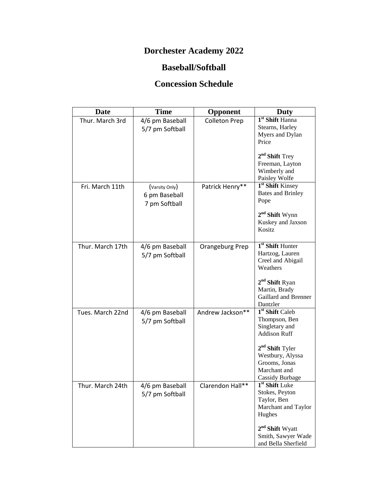## **Dorchester Academy 2022**

## **Baseball/Softball**

## **Concession Schedule**

| Date             | <b>Time</b>                                      | Opponent             | <b>Duty</b>                                                                                                          |
|------------------|--------------------------------------------------|----------------------|----------------------------------------------------------------------------------------------------------------------|
| Thur. March 3rd  | 4/6 pm Baseball<br>5/7 pm Softball               | <b>Colleton Prep</b> | 1 <sup>st</sup> Shift Hanna<br>Stearns, Harley<br>Myers and Dylan<br>Price                                           |
|                  |                                                  |                      | $2nd$ Shift Trey<br>Freeman, Layton<br>Wimberly and<br>Paisley Wolfe                                                 |
| Fri. March 11th  | (Varsity Only)<br>6 pm Baseball<br>7 pm Softball | Patrick Henry**      | 1 <sup>st</sup> Shift Kinsey<br><b>Bates and Brinley</b><br>Pope                                                     |
|                  |                                                  |                      | $2nd$ Shift Wynn<br>Kuskey and Jaxson<br><b>Kositz</b>                                                               |
| Thur. March 17th | 4/6 pm Baseball<br>5/7 pm Softball               | Orangeburg Prep      | $1st$ Shift Hunter<br>Hartzog, Lauren<br>Creel and Abigail<br>Weathers<br>$2nd$ Shift Ryan                           |
|                  |                                                  |                      | Martin, Brady<br>Gaillard and Brenner<br>Dantzler                                                                    |
| Tues. March 22nd | 4/6 pm Baseball<br>5/7 pm Softball               | Andrew Jackson**     | 1 <sup>st</sup> Shift Caleb<br>Thompson, Ben<br>Singletary and<br><b>Addison Ruff</b><br>2 <sup>nd</sup> Shift Tyler |
|                  |                                                  |                      | Westbury, Alyssa<br>Grooms, Jonas<br>Marchant and<br>Cassidy Burbage                                                 |
| Thur. March 24th | 4/6 pm Baseball<br>5/7 pm Softball               | Clarendon Hall**     | $1st$ Shift Luke<br>Stokes, Peyton<br>Taylor, Ben<br>Marchant and Taylor<br>Hughes                                   |
|                  |                                                  |                      | 2 <sup>nd</sup> Shift Wyatt<br>Smith, Sawyer Wade<br>and Bella Sherfield                                             |